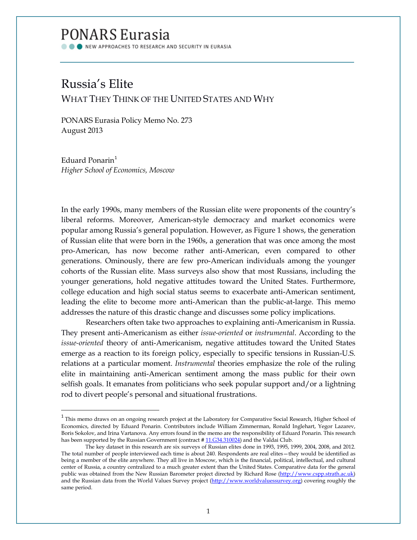## PONARS Eurasia

NEW APPROACHES TO RESEARCH AND SECURITY IN EURASIA

## Russia's Elite

 $\overline{\phantom{a}}$ 

WHAT THEY THINK OF THE UNITED STATES AND WHY

PONARS Eurasia Policy Memo No. 273 August 2013

Eduard Ponarin $<sup>1</sup>$  $<sup>1</sup>$  $<sup>1</sup>$ </sup> *Higher School of Economics, Moscow*

In the early 1990s, many members of the Russian elite were proponents of the country's liberal reforms. Moreover, American-style democracy and market economics were popular among Russia's general population. However, as Figure 1 shows, the generation of Russian elite that were born in the 1960s, a generation that was once among the most pro-American, has now become rather anti-American, even compared to other generations. Ominously, there are few pro-American individuals among the younger cohorts of the Russian elite. Mass surveys also show that most Russians, including the younger generations, hold negative attitudes toward the United States. Furthermore, college education and high social status seems to exacerbate anti-American sentiment, leading the elite to become more anti-American than the public-at-large. This memo addresses the nature of this drastic change and discusses some policy implications.

Researchers often take two approaches to explaining anti-Americanism in Russia. They present anti-Americanism as either *issue-oriented* or *instrumental*. According to the *issue-oriented* theory of anti-Americanism, negative attitudes toward the United States emerge as a reaction to its foreign policy, especially to specific tensions in Russian-U.S. relations at a particular moment. *Instrumental* theories emphasize the role of the ruling elite in maintaining anti-American sentiment among the mass public for their own selfish goals. It emanates from politicians who seek popular support and/or a lightning rod to divert people's personal and situational frustrations.

<span id="page-0-0"></span> $1$  This memo draws on an ongoing research project at the Laboratory for Comparative Social Research, Higher School of Economics, directed by Eduard Ponarin. Contributors include William Zimmerman, Ronald Inglehart, Yegor Lazarev, Boris Sokolov, and Irina Vartanova. Any errors found in the memo are the responsibility of Eduard Ponarin. This research has been supported by the Russian Government (contract #11.G34.310024) and the Valdai Club.

The key dataset in this research are six surveys of Russian elites done in 1993, 1995, 1999, 2004, 2008, and 2012. The total number of people interviewed each time is about 240. Respondents are real elites—they would be identified as being a member of the elite anywhere. They all live in Moscow, which is the financial, political, intellectual, and cultural center of Russia, a country centralized to a much greater extent than the United States. Comparative data for the general public was obtained from the New Russian Barometer project directed by Richard Rose (http://www.cspp.strath.ac.uk) and the Russian data from the World Values Survey project [\(http://www.worldvaluessurvey.org\)](http://www.worldvaluessurvey.org/) covering roughly the same period.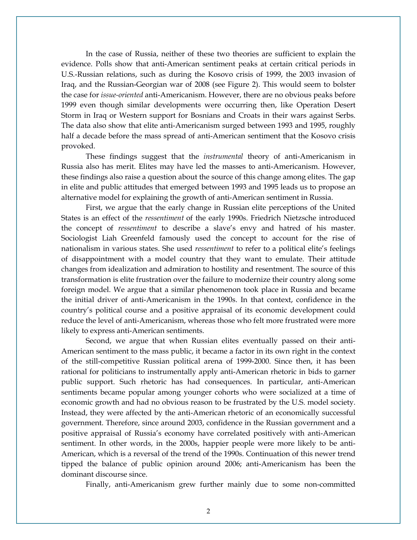In the case of Russia, neither of these two theories are sufficient to explain the evidence. Polls show that anti-American sentiment peaks at certain critical periods in U.S.-Russian relations, such as during the Kosovo crisis of 1999, the 2003 invasion of Iraq, and the Russian-Georgian war of 2008 (see Figure 2). This would seem to bolster the case for *issue-oriented* anti-Americanism. However, there are no obvious peaks before 1999 even though similar developments were occurring then, like Operation Desert Storm in Iraq or Western support for Bosnians and Croats in their wars against Serbs. The data also show that elite anti-Americanism surged between 1993 and 1995, roughly half a decade before the mass spread of anti-American sentiment that the Kosovo crisis provoked.

These findings suggest that the *instrumental* theory of anti-Americanism in Russia also has merit. Elites may have led the masses to anti-Americanism. However, these findings also raise a question about the source of this change among elites. The gap in elite and public attitudes that emerged between 1993 and 1995 leads us to propose an alternative model for explaining the growth of anti-American sentiment in Russia.

First, we argue that the early change in Russian elite perceptions of the United States is an effect of the *ressentiment* of the early 1990s. Friedrich Nietzsche introduced the concept of *ressentiment* to describe a slave's envy and hatred of his master. Sociologist Liah Greenfeld famously used the concept to account for the rise of nationalism in various states. She used *ressentiment* to refer to a political elite's feelings of disappointment with a model country that they want to emulate. Their attitude changes from idealization and admiration to hostility and resentment. The source of this transformation is elite frustration over the failure to modernize their country along some foreign model. We argue that a similar phenomenon took place in Russia and became the initial driver of anti-Americanism in the 1990s. In that context, confidence in the country's political course and a positive appraisal of its economic development could reduce the level of anti-Americanism, whereas those who felt more frustrated were more likely to express anti-American sentiments.

Second, we argue that when Russian elites eventually passed on their anti-American sentiment to the mass public, it became a factor in its own right in the context of the still-competitive Russian political arena of 1999-2000. Since then, it has been rational for politicians to instrumentally apply anti-American rhetoric in bids to garner public support. Such rhetoric has had consequences. In particular, anti-American sentiments became popular among younger cohorts who were socialized at a time of economic growth and had no obvious reason to be frustrated by the U.S. model society. Instead, they were affected by the anti-American rhetoric of an economically successful government. Therefore, since around 2003, confidence in the Russian government and a positive appraisal of Russia's economy have correlated positively with anti-American sentiment. In other words, in the 2000s, happier people were more likely to be anti-American, which is a reversal of the trend of the 1990s. Continuation of this newer trend tipped the balance of public opinion around 2006; anti-Americanism has been the dominant discourse since.

Finally, anti-Americanism grew further mainly due to some non-committed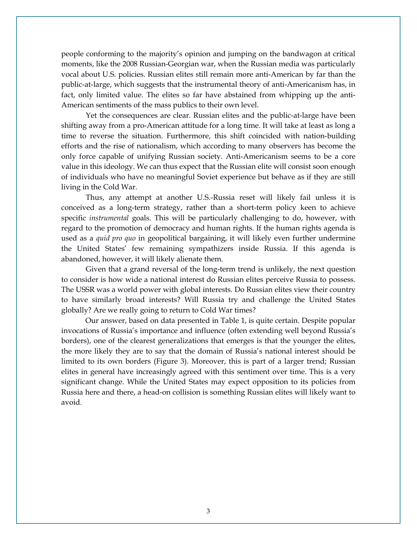people conforming to the majority's opinion and jumping on the bandwagon at critical moments, like the 2008 Russian-Georgian war, when the Russian media was particularly vocal about U.S. policies. Russian elites still remain more anti-American by far than the public-at-large, which suggests that the instrumental theory of anti-Americanism has, in fact, only limited value. The elites so far have abstained from whipping up the anti-American sentiments of the mass publics to their own level.

Yet the consequences are clear. Russian elites and the public-at-large have been shifting away from a pro-American attitude for a long time. It will take at least as long a time to reverse the situation. Furthermore, this shift coincided with nation-building efforts and the rise of nationalism, which according to many observers has become the only force capable of unifying Russian society. Anti-Americanism seems to be a core value in this ideology. We can thus expect that the Russian elite will consist soon enough of individuals who have no meaningful Soviet experience but behave as if they are still living in the Cold War.

Thus, any attempt at another U.S.-Russia reset will likely fail unless it is conceived as a long-term strategy, rather than a short-term policy keen to achieve specific *instrumental* goals. This will be particularly challenging to do, however, with regard to the promotion of democracy and human rights. If the human rights agenda is used as a *quid pro quo* in geopolitical bargaining, it will likely even further undermine the United States' few remaining sympathizers inside Russia. If this agenda is abandoned, however, it will likely alienate them.

Given that a grand reversal of the long-term trend is unlikely, the next question to consider is how wide a national interest do Russian elites perceive Russia to possess. The USSR was a world power with global interests. Do Russian elites view their country to have similarly broad interests? Will Russia try and challenge the United States globally? Are we really going to return to Cold War times?

Our answer, based on data presented in Table 1, is quite certain. Despite popular invocations of Russia's importance and influence (often extending well beyond Russia's borders), one of the clearest generalizations that emerges is that the younger the elites, the more likely they are to say that the domain of Russia's national interest should be limited to its own borders (Figure 3). Moreover, this is part of a larger trend; Russian elites in general have increasingly agreed with this sentiment over time. This is a very significant change. While the United States may expect opposition to its policies from Russia here and there, a head-on collision is something Russian elites will likely want to avoid.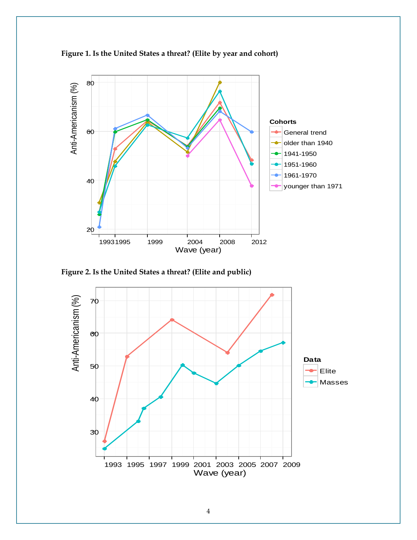

**Figure 1. Is the United States a threat? (Elite by year and cohort)**

**Figure 2. Is the United States a threat? (Elite and public)**